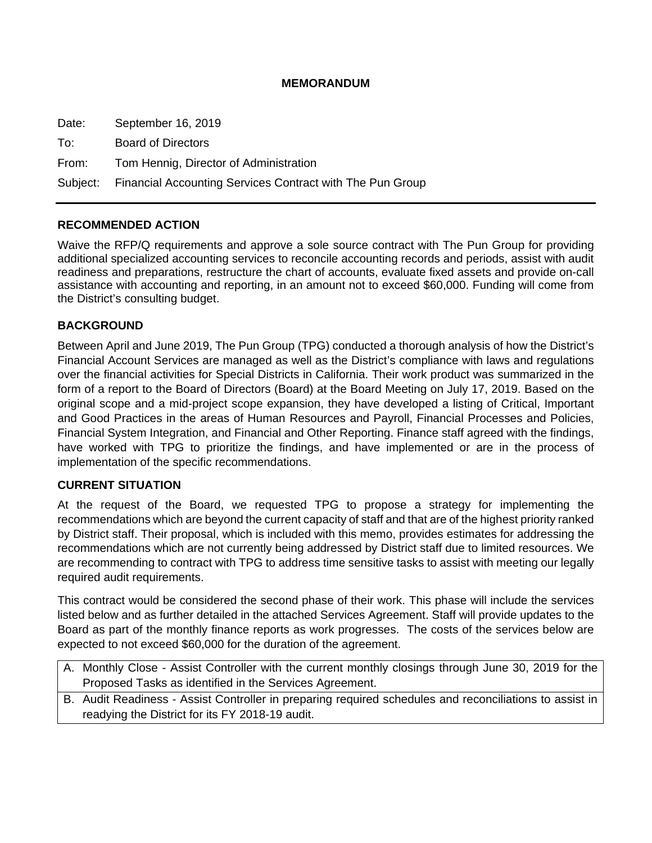# **MEMORANDUM**

Date: September 16, 2019 To: Board of Directors From: Tom Hennig, Director of Administration Subject: Financial Accounting Services Contract with The Pun Group

## **RECOMMENDED ACTION**

Waive the RFP/Q requirements and approve a sole source contract with The Pun Group for providing additional specialized accounting services to reconcile accounting records and periods, assist with audit readiness and preparations, restructure the chart of accounts, evaluate fixed assets and provide on-call assistance with accounting and reporting, in an amount not to exceed \$60,000. Funding will come from the District's consulting budget.

## **BACKGROUND**

Between April and June 2019, The Pun Group (TPG) conducted a thorough analysis of how the District's Financial Account Services are managed as well as the District's compliance with laws and regulations over the financial activities for Special Districts in California. Their work product was summarized in the form of a report to the Board of Directors (Board) at the Board Meeting on July 17, 2019. Based on the original scope and a mid-project scope expansion, they have developed a listing of Critical, Important and Good Practices in the areas of Human Resources and Payroll, Financial Processes and Policies, Financial System Integration, and Financial and Other Reporting. Finance staff agreed with the findings, have worked with TPG to prioritize the findings, and have implemented or are in the process of implementation of the specific recommendations.

## **CURRENT SITUATION**

At the request of the Board, we requested TPG to propose a strategy for implementing the recommendations which are beyond the current capacity of staff and that are of the highest priority ranked by District staff. Their proposal, which is included with this memo, provides estimates for addressing the recommendations which are not currently being addressed by District staff due to limited resources. We are recommending to contract with TPG to address time sensitive tasks to assist with meeting our legally required audit requirements.

This contract would be considered the second phase of their work. This phase will include the services listed below and as further detailed in the attached Services Agreement. Staff will provide updates to the Board as part of the monthly finance reports as work progresses. The costs of the services below are expected to not exceed \$60,000 for the duration of the agreement.

- A. Monthly Close Assist Controller with the current monthly closings through June 30, 2019 for the Proposed Tasks as identified in the Services Agreement.
- B. Audit Readiness Assist Controller in preparing required schedules and reconciliations to assist in readying the District for its FY 2018-19 audit.